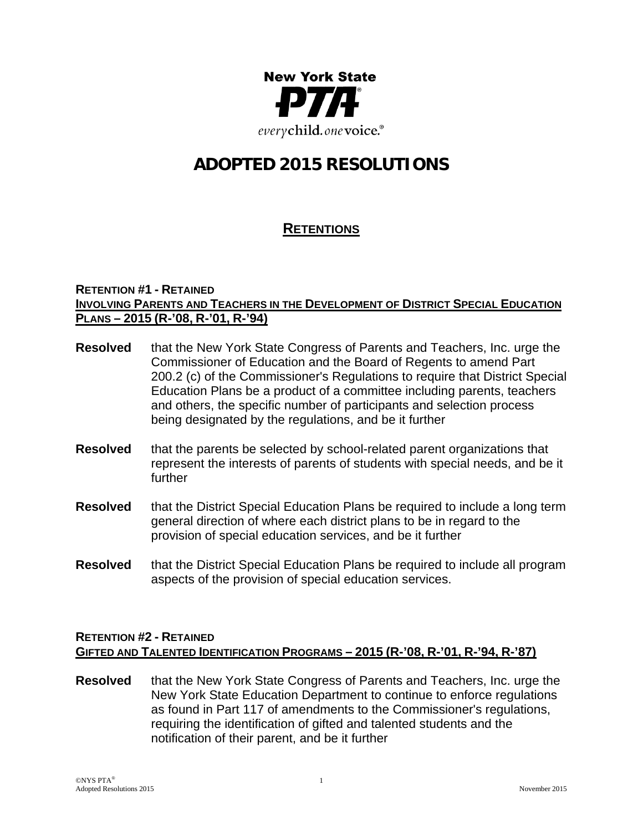

# **ADOPTED 2015 RESOLUTIONS**

# **RETENTIONS**

#### **RETENTION #1 - RETAINED INVOLVING PARENTS AND TEACHERS IN THE DEVELOPMENT OF DISTRICT SPECIAL EDUCATION PLANS – 2015 (R-'08, R-'01, R-'94)**

- **Resolved** that the New York State Congress of Parents and Teachers, Inc. urge the Commissioner of Education and the Board of Regents to amend Part 200.2 (c) of the Commissioner's Regulations to require that District Special Education Plans be a product of a committee including parents, teachers and others, the specific number of participants and selection process being designated by the regulations, and be it further
- **Resolved** that the parents be selected by school-related parent organizations that represent the interests of parents of students with special needs, and be it further
- **Resolved** that the District Special Education Plans be required to include a long term general direction of where each district plans to be in regard to the provision of special education services, and be it further
- **Resolved** that the District Special Education Plans be required to include all program aspects of the provision of special education services.

## **RETENTION #2 - RETAINED GIFTED AND TALENTED IDENTIFICATION PROGRAMS – 2015 (R-'08, R-'01, R-'94, R-'87)**

**Resolved** that the New York State Congress of Parents and Teachers, Inc. urge the New York State Education Department to continue to enforce regulations as found in Part 117 of amendments to the Commissioner's regulations, requiring the identification of gifted and talented students and the notification of their parent, and be it further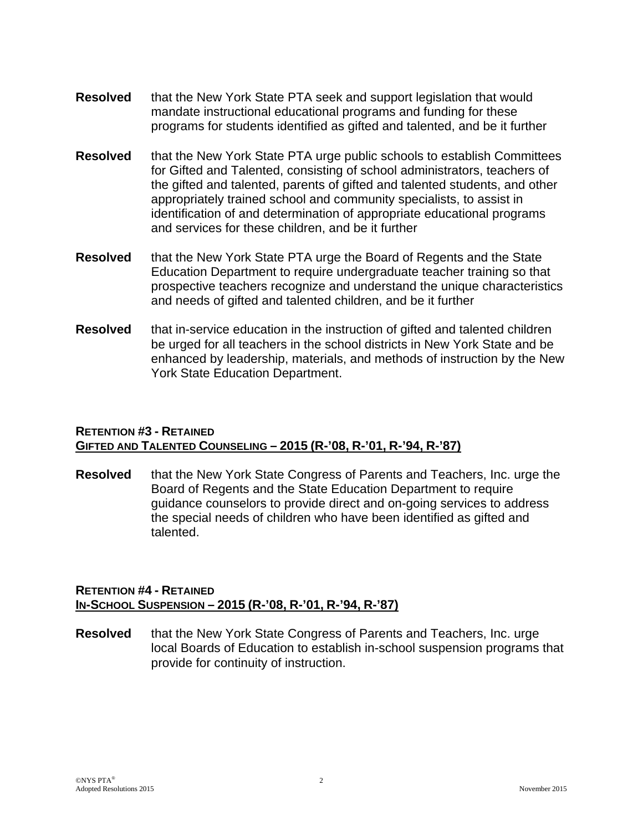- **Resolved** that the New York State PTA seek and support legislation that would mandate instructional educational programs and funding for these programs for students identified as gifted and talented, and be it further
- **Resolved** that the New York State PTA urge public schools to establish Committees for Gifted and Talented, consisting of school administrators, teachers of the gifted and talented, parents of gifted and talented students, and other appropriately trained school and community specialists, to assist in identification of and determination of appropriate educational programs and services for these children, and be it further
- **Resolved** that the New York State PTA urge the Board of Regents and the State Education Department to require undergraduate teacher training so that prospective teachers recognize and understand the unique characteristics and needs of gifted and talented children, and be it further
- **Resolved** that in-service education in the instruction of gifted and talented children be urged for all teachers in the school districts in New York State and be enhanced by leadership, materials, and methods of instruction by the New York State Education Department.

## **RETENTION #3 - RETAINED GIFTED AND TALENTED COUNSELING – 2015 (R-'08, R-'01, R-'94, R-'87)**

**Resolved** that the New York State Congress of Parents and Teachers, Inc. urge the Board of Regents and the State Education Department to require guidance counselors to provide direct and on-going services to address the special needs of children who have been identified as gifted and talented.

#### **RETENTION #4 - RETAINED IN-SCHOOL SUSPENSION – 2015 (R-'08, R-'01, R-'94, R-'87)**

**Resolved** that the New York State Congress of Parents and Teachers, Inc. urge local Boards of Education to establish in-school suspension programs that provide for continuity of instruction.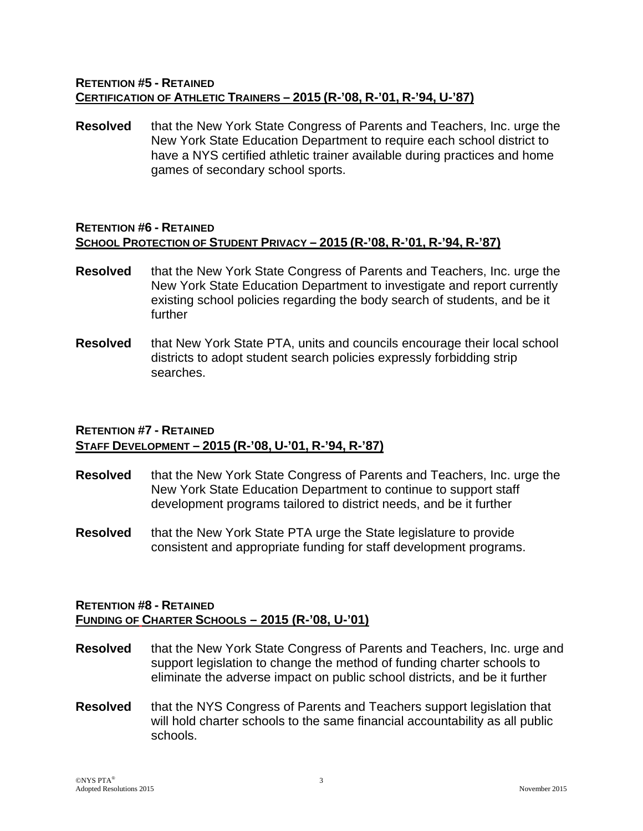#### **RETENTION #5 - RETAINED CERTIFICATION OF ATHLETIC TRAINERS – 2015 (R-'08, R-'01, R-'94, U-'87)**

**Resolved** that the New York State Congress of Parents and Teachers, Inc. urge the New York State Education Department to require each school district to have a NYS certified athletic trainer available during practices and home games of secondary school sports.

## **RETENTION #6 - RETAINED SCHOOL PROTECTION OF STUDENT PRIVACY – 2015 (R-'08, R-'01, R-'94, R-'87)**

- **Resolved** that the New York State Congress of Parents and Teachers, Inc. urge the New York State Education Department to investigate and report currently existing school policies regarding the body search of students, and be it further
- **Resolved** that New York State PTA, units and councils encourage their local school districts to adopt student search policies expressly forbidding strip searches.

## **RETENTION #7 - RETAINED STAFF DEVELOPMENT – 2015 (R-'08, U-'01, R-'94, R-'87)**

- **Resolved** that the New York State Congress of Parents and Teachers, Inc. urge the New York State Education Department to continue to support staff development programs tailored to district needs, and be it further
- **Resolved** that the New York State PTA urge the State legislature to provide consistent and appropriate funding for staff development programs.

## **RETENTION #8 - RETAINED FUNDING OF CHARTER SCHOOLS – 2015 (R-'08, U-'01)**

- **Resolved** that the New York State Congress of Parents and Teachers, Inc. urge and support legislation to change the method of funding charter schools to eliminate the adverse impact on public school districts, and be it further
- **Resolved** that the NYS Congress of Parents and Teachers support legislation that will hold charter schools to the same financial accountability as all public schools.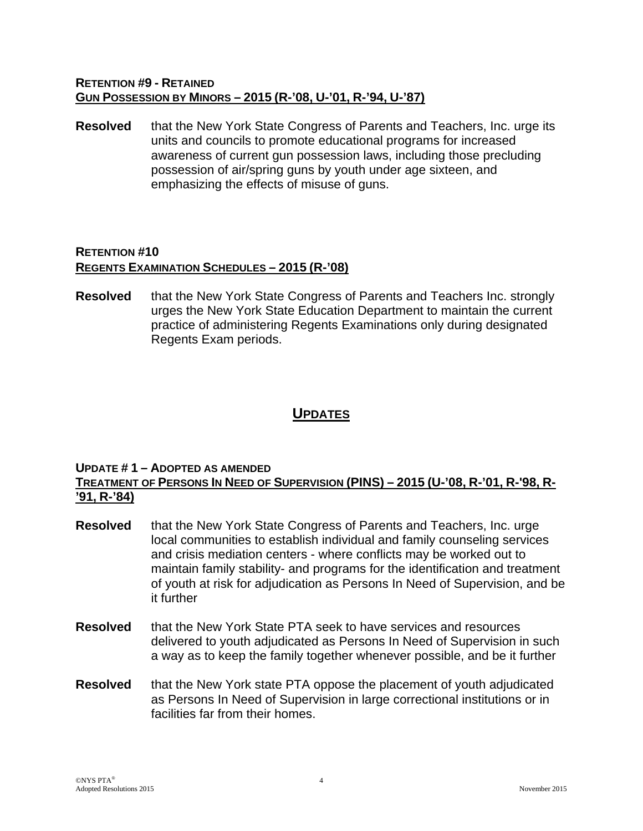#### **RETENTION #9 - RETAINED GUN POSSESSION BY MINORS – 2015 (R-'08, U-'01, R-'94, U-'87)**

**Resolved** that the New York State Congress of Parents and Teachers, Inc. urge its units and councils to promote educational programs for increased awareness of current gun possession laws, including those precluding possession of air/spring guns by youth under age sixteen, and emphasizing the effects of misuse of guns.

# **RETENTION #10 REGENTS EXAMINATION SCHEDULES – 2015 (R-'08)**

**Resolved** that the New York State Congress of Parents and Teachers Inc. strongly urges the New York State Education Department to maintain the current practice of administering Regents Examinations only during designated Regents Exam periods.

# **UPDATES**

## **UPDATE # 1 – ADOPTED AS AMENDED**

#### **TREATMENT OF PERSONS IN NEED OF SUPERVISION (PINS) – 2015 (U-'08, R-'01, R-'98, R- '91, R-'84)**

- **Resolved** that the New York State Congress of Parents and Teachers, Inc. urge local communities to establish individual and family counseling services and crisis mediation centers - where conflicts may be worked out to maintain family stability- and programs for the identification and treatment of youth at risk for adjudication as Persons In Need of Supervision, and be it further
- **Resolved** that the New York State PTA seek to have services and resources delivered to youth adjudicated as Persons In Need of Supervision in such a way as to keep the family together whenever possible, and be it further
- **Resolved** that the New York state PTA oppose the placement of youth adjudicated as Persons In Need of Supervision in large correctional institutions or in facilities far from their homes.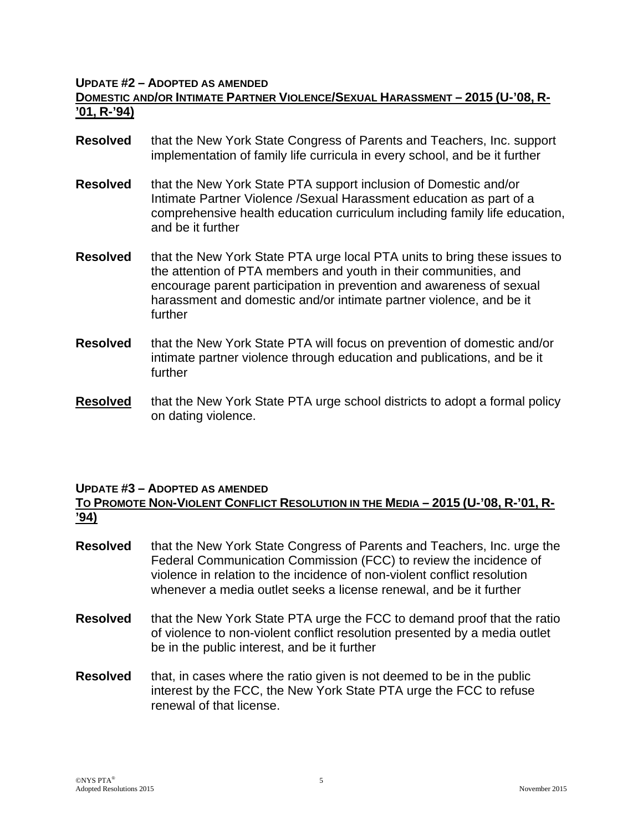#### **UPDATE #2 – ADOPTED AS AMENDED**

## **DOMESTIC AND/OR INTIMATE PARTNER VIOLENCE/SEXUAL HARASSMENT – 2015 (U-'08, R- '01, R-'94)**

- **Resolved** that the New York State Congress of Parents and Teachers, Inc. support implementation of family life curricula in every school, and be it further
- **Resolved** that the New York State PTA support inclusion of Domestic and/or Intimate Partner Violence /Sexual Harassment education as part of a comprehensive health education curriculum including family life education, and be it further
- **Resolved** that the New York State PTA urge local PTA units to bring these issues to the attention of PTA members and youth in their communities, and encourage parent participation in prevention and awareness of sexual harassment and domestic and/or intimate partner violence, and be it further
- **Resolved** that the New York State PTA will focus on prevention of domestic and/or intimate partner violence through education and publications, and be it further
- **Resolved** that the New York State PTA urge school districts to adopt a formal policy on dating violence.

#### **UPDATE #3 – ADOPTED AS AMENDED**

## **TO PROMOTE NON-VIOLENT CONFLICT RESOLUTION IN THE MEDIA – 2015 (U-'08, R-'01, R- '94)**

- **Resolved** that the New York State Congress of Parents and Teachers, Inc. urge the Federal Communication Commission (FCC) to review the incidence of violence in relation to the incidence of non-violent conflict resolution whenever a media outlet seeks a license renewal, and be it further
- **Resolved** that the New York State PTA urge the FCC to demand proof that the ratio of violence to non-violent conflict resolution presented by a media outlet be in the public interest, and be it further
- **Resolved** that, in cases where the ratio given is not deemed to be in the public interest by the FCC, the New York State PTA urge the FCC to refuse renewal of that license.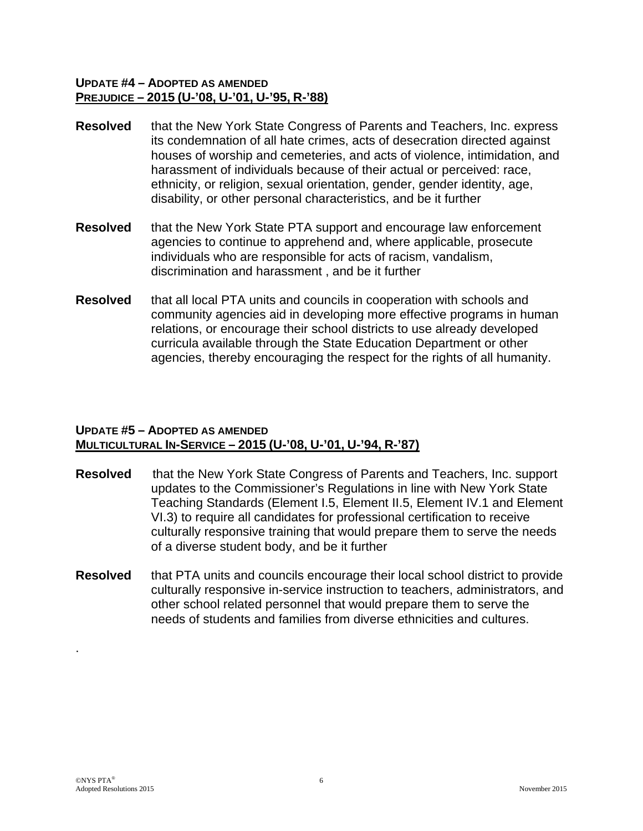#### **UPDATE #4 – ADOPTED AS AMENDED PREJUDICE – 2015 (U-'08, U-'01, U-'95, R-'88)**

- **Resolved** that the New York State Congress of Parents and Teachers, Inc. express its condemnation of all hate crimes, acts of desecration directed against houses of worship and cemeteries, and acts of violence, intimidation, and harassment of individuals because of their actual or perceived: race, ethnicity, or religion, sexual orientation, gender, gender identity, age, disability, or other personal characteristics, and be it further
- **Resolved** that the New York State PTA support and encourage law enforcement agencies to continue to apprehend and, where applicable, prosecute individuals who are responsible for acts of racism, vandalism, discrimination and harassment , and be it further
- **Resolved** that all local PTA units and councils in cooperation with schools and community agencies aid in developing more effective programs in human relations, or encourage their school districts to use already developed curricula available through the State Education Department or other agencies, thereby encouraging the respect for the rights of all humanity.

## **UPDATE #5 – ADOPTED AS AMENDED MULTICULTURAL IN-SERVICE – 2015 (U-'08, U-'01, U-'94, R-'87)**

- **Resolved** that the New York State Congress of Parents and Teachers, Inc. support updates to the Commissioner's Regulations in line with New York State Teaching Standards (Element I.5, Element II.5, Element IV.1 and Element VI.3) to require all candidates for professional certification to receive culturally responsive training that would prepare them to serve the needs of a diverse student body, and be it further
- **Resolved** that PTA units and councils encourage their local school district to provide culturally responsive in-service instruction to teachers, administrators, and other school related personnel that would prepare them to serve the needs of students and families from diverse ethnicities and cultures.

.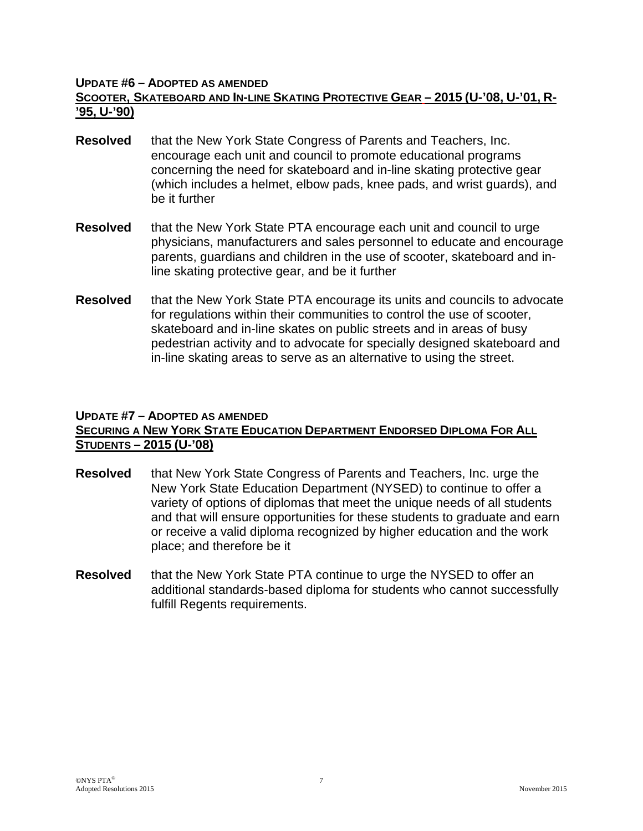#### **UPDATE #6 – ADOPTED AS AMENDED**

## **SCOOTER, SKATEBOARD AND IN-LINE SKATING PROTECTIVE GEAR – 2015 (U-'08, U-'01, R- '95, U-'90)**

- **Resolved** that the New York State Congress of Parents and Teachers, Inc. encourage each unit and council to promote educational programs concerning the need for skateboard and in-line skating protective gear (which includes a helmet, elbow pads, knee pads, and wrist guards), and be it further
- **Resolved** that the New York State PTA encourage each unit and council to urge physicians, manufacturers and sales personnel to educate and encourage parents, guardians and children in the use of scooter, skateboard and inline skating protective gear, and be it further
- **Resolved** that the New York State PTA encourage its units and councils to advocate for regulations within their communities to control the use of scooter, skateboard and in-line skates on public streets and in areas of busy pedestrian activity and to advocate for specially designed skateboard and in-line skating areas to serve as an alternative to using the street.

#### **UPDATE #7 – ADOPTED AS AMENDED**

## **SECURING A NEW YORK STATE EDUCATION DEPARTMENT ENDORSED DIPLOMA FOR ALL STUDENTS – 2015 (U-'08)**

- **Resolved** that New York State Congress of Parents and Teachers, Inc. urge the New York State Education Department (NYSED) to continue to offer a variety of options of diplomas that meet the unique needs of all students and that will ensure opportunities for these students to graduate and earn or receive a valid diploma recognized by higher education and the work place; and therefore be it
- **Resolved** that the New York State PTA continue to urge the NYSED to offer an additional standards-based diploma for students who cannot successfully fulfill Regents requirements.